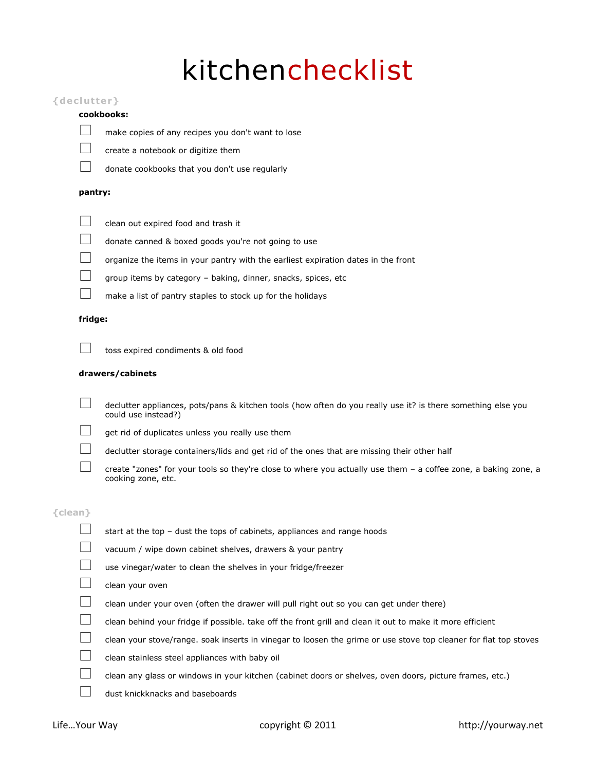# kitchenchecklist

### **{dec l ut ter}**

#### **cookbooks:**



make copies of any recipes you don't want to lose

create a notebook or digitize them



donate cookbooks that you don't use regularly

# **pantry:**



clean out expired food and trash it

- donate canned & boxed goods you're not going to use
- organize the items in your pantry with the earliest expiration dates in the front
- group items by category baking, dinner, snacks, spices, etc
	- make a list of pantry staples to stock up for the holidays

#### **fridge:**

toss expired condiments & old food

#### **drawers/cabinets**

 declutter appliances, pots/pans & kitchen tools (how often do you really use it? is there something else you could use instead?)



- get rid of duplicates unless you really use them
- declutter storage containers/lids and get rid of the ones that are missing their other half
	- create "zones" for your tools so they're close to where you actually use them a coffee zone, a baking zone, a cooking zone, etc.

# **{clean}**

 start at the top – dust the tops of cabinets, appliances and range hoods vacuum / wipe down cabinet shelves, drawers & your pantry use vinegar/water to clean the shelves in your fridge/freezer clean your oven clean under your oven (often the drawer will pull right out so you can get under there) clean behind your fridge if possible. take off the front grill and clean it out to make it more efficient clean your stove/range. soak inserts in vinegar to loosen the grime or use stove top cleaner for flat top stoves clean stainless steel appliances with baby oil clean any glass or windows in your kitchen (cabinet doors or shelves, oven doors, picture frames, etc.) dust knickknacks and baseboards